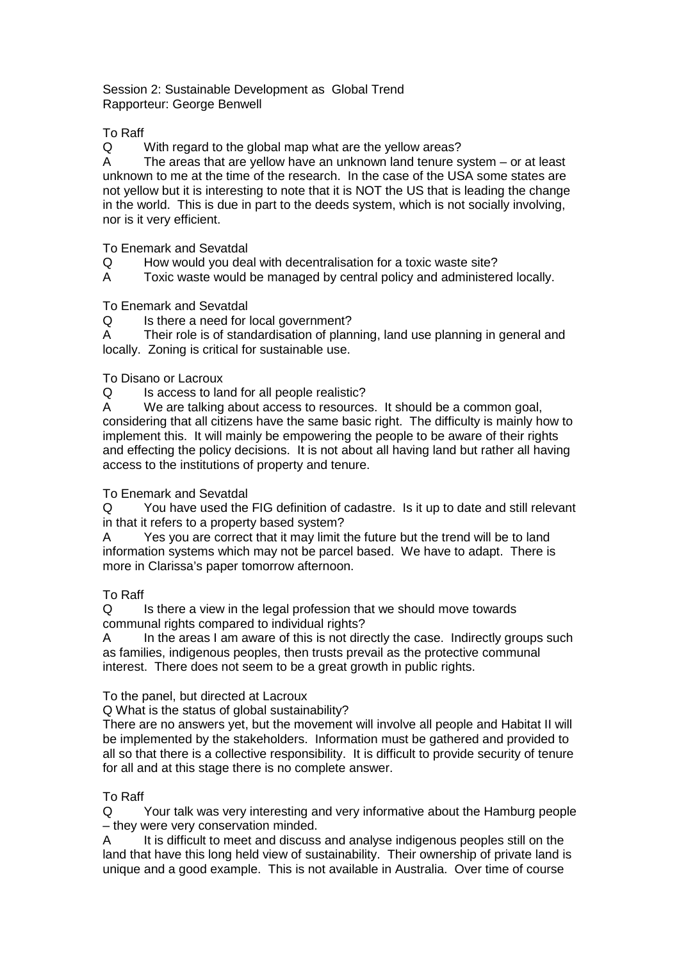#### Session 2: Sustainable Development as Global Trend Rapporteur: George Benwell

### To Raff

Q With regard to the global map what are the yellow areas?

A The areas that are yellow have an unknown land tenure system – or at least unknown to me at the time of the research. In the case of the USA some states are not yellow but it is interesting to note that it is NOT the US that is leading the change in the world. This is due in part to the deeds system, which is not socially involving, nor is it very efficient.

To Enemark and Sevatdal

- Q How would you deal with decentralisation for a toxic waste site?
- A Toxic waste would be managed by central policy and administered locally.

## To Enemark and Sevatdal

Q Is there a need for local government?

A Their role is of standardisation of planning, land use planning in general and locally. Zoning is critical for sustainable use.

## To Disano or Lacroux

Q Is access to land for all people realistic?

A We are talking about access to resources. It should be a common goal, considering that all citizens have the same basic right. The difficulty is mainly how to implement this. It will mainly be empowering the people to be aware of their rights and effecting the policy decisions. It is not about all having land but rather all having access to the institutions of property and tenure.

# To Enemark and Sevatdal

Q You have used the FIG definition of cadastre. Is it up to date and still relevant in that it refers to a property based system?

A Yes you are correct that it may limit the future but the trend will be to land information systems which may not be parcel based. We have to adapt. There is more in Clarissa's paper tomorrow afternoon.

# To Raff

Q Is there a view in the legal profession that we should move towards communal rights compared to individual rights?

A In the areas I am aware of this is not directly the case. Indirectly groups such as families, indigenous peoples, then trusts prevail as the protective communal interest. There does not seem to be a great growth in public rights.

### To the panel, but directed at Lacroux

Q What is the status of global sustainability?

There are no answers yet, but the movement will involve all people and Habitat II will be implemented by the stakeholders. Information must be gathered and provided to all so that there is a collective responsibility. It is difficult to provide security of tenure for all and at this stage there is no complete answer.

### To Raff

Q Your talk was very interesting and very informative about the Hamburg people – they were very conservation minded.

A It is difficult to meet and discuss and analyse indigenous peoples still on the land that have this long held view of sustainability. Their ownership of private land is unique and a good example. This is not available in Australia. Over time of course